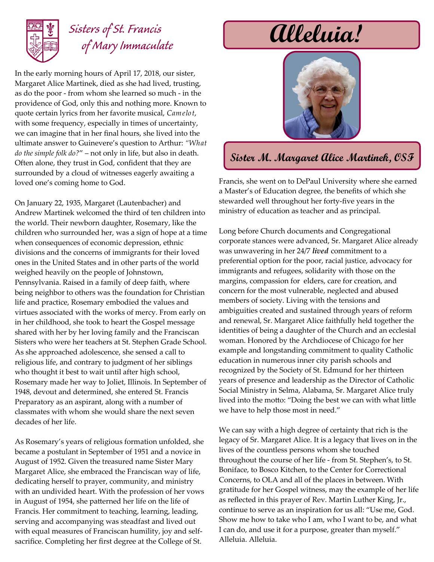

## *Sisters of St. Francis of Mary Immaculate*

In the early morning hours of April 17, 2018, our sister, Margaret Alice Martinek, died as she had lived, trusting, as do the poor - from whom she learned so much - in the providence of God, only this and nothing more. Known to quote certain lyrics from her favorite musical, *Camelot*, with some frequency, especially in times of uncertainty, we can imagine that in her final hours, she lived into the ultimate answer to Guinevere's question to Arthur: *"What do the simple folk do?*" – not only in life, but also in death. Often alone, they trust in God, confident that they are surrounded by a cloud of witnesses eagerly awaiting a loved one's coming home to God.

On January 22, 1935, Margaret (Lautenbacher) and Andrew Martinek welcomed the third of ten children into the world. Their newborn daughter, Rosemary, like the children who surrounded her, was a sign of hope at a time when consequences of economic depression, ethnic divisions and the concerns of immigrants for their loved ones in the United States and in other parts of the world weighed heavily on the people of Johnstown, Pennsylvania. Raised in a family of deep faith, where being neighbor to others was the foundation for Christian life and practice, Rosemary embodied the values and virtues associated with the works of mercy. From early on in her childhood, she took to heart the Gospel message shared with her by her loving family and the Franciscan Sisters who were her teachers at St. Stephen Grade School. As she approached adolescence, she sensed a call to religious life, and contrary to judgment of her siblings who thought it best to wait until after high school, Rosemary made her way to Joliet, Illinois. In September of 1948, devout and determined, she entered St. Francis Preparatory as an aspirant, along with a number of classmates with whom she would share the next seven decades of her life.

As Rosemary's years of religious formation unfolded, she became a postulant in September of 1951 and a novice in August of 1952. Given the treasured name Sister Mary Margaret Alice, she embraced the Franciscan way of life, dedicating herself to prayer, community, and ministry with an undivided heart. With the profession of her vows in August of 1954, she patterned her life on the life of Francis. Her commitment to teaching, learning, leading, serving and accompanying was steadfast and lived out with equal measures of Franciscan humility, joy and selfsacrifice. Completing her first degree at the College of St.

# **Alleluia!**



### **Sister M. Margaret Alice Martinek, OSF**

Francis, she went on to DePaul University where she earned a Master's of Education degree, the benefits of which she stewarded well throughout her forty-five years in the ministry of education as teacher and as principal.

Long before Church documents and Congregational corporate stances were advanced, Sr. Margaret Alice already was unwavering in her 24/7 *lived* commitment to a preferential option for the poor, racial justice, advocacy for immigrants and refugees, solidarity with those on the margins, compassion for elders, care for creation, and concern for the most vulnerable, neglected and abused members of society. Living with the tensions and ambiguities created and sustained through years of reform and renewal, Sr. Margaret Alice faithfully held together the identities of being a daughter of the Church and an ecclesial woman. Honored by the Archdiocese of Chicago for her example and longstanding commitment to quality Catholic education in numerous inner city parish schools and recognized by the Society of St. Edmund for her thirteen years of presence and leadership as the Director of Catholic Social Ministry in Selma, Alabama, Sr. Margaret Alice truly lived into the motto: "Doing the best we can with what little we have to help those most in need."

We can say with a high degree of certainty that rich is the legacy of Sr. Margaret Alice. It is a legacy that lives on in the lives of the countless persons whom she touched throughout the course of her life - from St. Stephen's, to St. Boniface, to Bosco Kitchen, to the Center for Correctional Concerns, to OLA and all of the places in between. With gratitude for her Gospel witness, may the example of her life as reflected in this prayer of Rev. Martin Luther King, Jr., continue to serve as an inspiration for us all: "Use me, God. Show me how to take who I am, who I want to be, and what I can do, and use it for a purpose, greater than myself." Alleluia. Alleluia.